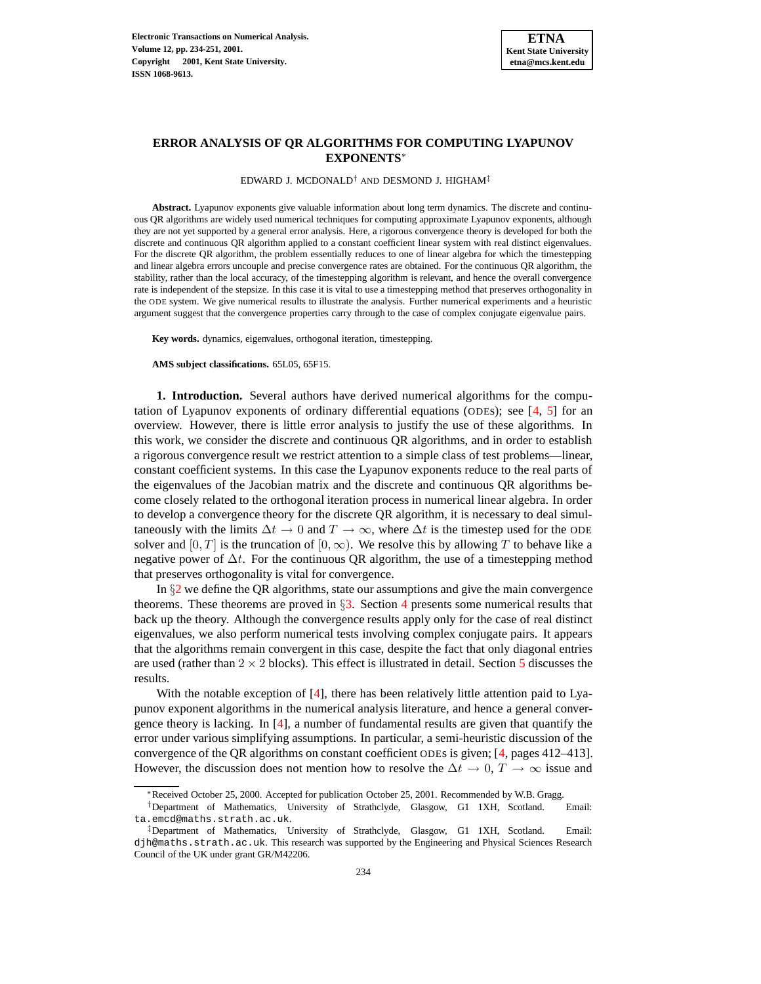# **ERROR ANALYSIS OF QR ALGORITHMS FOR COMPUTING LYAPUNOV EXPONENTS**<sup>∗</sup>

EDWARD J. MCDONALD† AND DESMOND J. HIGHAM‡

**Abstract.** Lyapunov exponents give valuable information about long term dynamics. The discrete and continuous QR algorithms are widely used numerical techniques for computing approximate Lyapunov exponents, although they are not yet supported by a general error analysis. Here, a rigorous convergence theory is developed for both the discrete and continuous QR algorithm applied to a constant coefficient linear system with real distinct eigenvalues. For the discrete QR algorithm, the problem essentially reduces to one of linear algebra for which the timestepping and linear algebra errors uncouple and precise convergence rates are obtained. For the continuous QR algorithm, the stability, rather than the local accuracy, of the timestepping algorithm is relevant, and hence the overall convergence rate is independent of the stepsize. In this case it is vital to use a timestepping method that preserves orthogonality in the ODE system. We give numerical results to illustrate the analysis. Further numerical experiments and a heuristic argument suggest that the convergence properties carry through to the case of complex conjugate eigenvalue pairs.

**Key words.** dynamics, eigenvalues, orthogonal iteration, timestepping.

**AMS subject classifications.** 65L05, 65F15.

**1. Introduction.** Several authors have derived numerical algorithms for the computation of Lyapunov exponents of ordinary differential equations (ODEs); see [\[4,](#page-16-0) [5\]](#page-16-1) for an overview. However, there is little error analysis to justify the use of these algorithms. In this work, we consider the discrete and continuous QR algorithms, and in order to establish a rigorous convergence result we restrict attention to a simple class of test problems—linear, constant coefficient systems. In this case the Lyapunov exponents reduce to the real parts of the eigenvalues of the Jacobian matrix and the discrete and continuous QR algorithms become closely related to the orthogonal iteration process in numerical linear algebra. In order to develop a convergence theory for the discrete QR algorithm, it is necessary to deal simultaneously with the limits  $\Delta t \to 0$  and  $T \to \infty$ , where  $\Delta t$  is the timestep used for the ODE solver and  $[0, T]$  is the truncation of  $[0, \infty)$ . We resolve this by allowing T to behave like a negative power of  $\Delta t$ . For the continuous QR algorithm, the use of a timestepping method that preserves orthogonality is vital for convergence.

In  $\S2$  $\S2$  we define the QR algorithms, state our assumptions and give the main convergence theorems. These theorems are proved in  $\S$ [3.](#page-4-0) Section [4](#page-10-0) presents some numerical results that back up the theory. Although the convergence results apply only for the case of real distinct eigenvalues, we also perform numerical tests involving complex conjugate pairs. It appears that the algorithms remain convergent in this case, despite the fact that only diagonal entries are used (rather than  $2 \times 2$  blocks). This effect is illustrated in detail. Section [5](#page-15-0) discusses the results.

With the notable exception of [\[4\]](#page-16-0), there has been relatively little attention paid to Lyapunov exponent algorithms in the numerical analysis literature, and hence a general convergence theory is lacking. In [\[4\]](#page-16-0), a number of fundamental results are given that quantify the error under various simplifying assumptions. In particular, a semi-heuristic discussion of the convergence of the QR algorithms on constant coefficient ODEs is given; [\[4,](#page-16-0) pages 412–413]. However, the discussion does not mention how to resolve the  $\Delta t \to 0$ ,  $T \to \infty$  issue and

<sup>∗</sup>Received October 25, 2000. Accepted for publication October 25, 2001. Recommended by W.B. Gragg.

<sup>†</sup>Department of Mathematics, University of Strathclyde, Glasgow, G1 1XH, Scotland. Email: ta.emcd@maths.strath.ac.uk.

<sup>‡</sup>Department of Mathematics, University of Strathclyde, Glasgow, G1 1XH, Scotland. Email: djh@maths.strath.ac.uk. This research was supported by the Engineering and Physical Sciences Research Council of the UK under grant GR/M42206.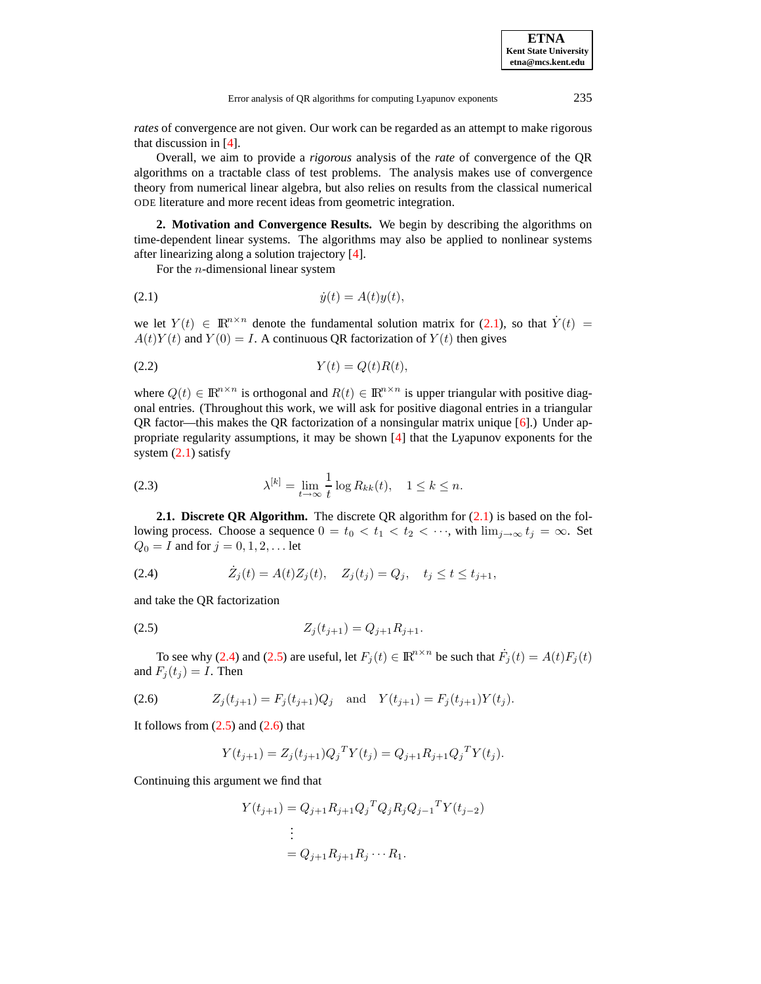*rates* of convergence are not given. Our work can be regarded as an attempt to make rigorous that discussion in [\[4\]](#page-16-0).

Overall, we aim to provide a *rigorous* analysis of the *rate* of convergence of the QR algorithms on a tractable class of test problems. The analysis makes use of convergence theory from numerical linear algebra, but also relies on results from the classical numerical ODE literature and more recent ideas from geometric integration.

<span id="page-1-0"></span>**2. Motivation and Convergence Results.** We begin by describing the algorithms on time-dependent linear systems. The algorithms may also be applied to nonlinear systems after linearizing along a solution trajectory [\[4\]](#page-16-0).

<span id="page-1-1"></span>For the n-dimensional linear system

(2.1) y˙(t) = A(t)y(t),

we let  $Y(t) \in \mathbb{R}^{n \times n}$  denote the fundamental solution matrix for [\(2.1\)](#page-1-1), so that  $\dot{Y}(t) =$  $A(t)Y(t)$  and  $Y(0) = I$ . A continuous QR factorization of  $Y(t)$  then gives

<span id="page-1-6"></span>
$$
(2.2) \t\t Y(t) = Q(t)R(t),
$$

where  $Q(t) \in \mathbb{R}^{n \times n}$  is orthogonal and  $R(t) \in \mathbb{R}^{n \times n}$  is upper triangular with positive diagonal entries. (Throughout this work, we will ask for positive diagonal entries in a triangular QR factor—this makes the QR factorization of a nonsingular matrix unique [\[6\]](#page-16-2).) Under appropriate regularity assumptions, it may be shown [\[4\]](#page-16-0) that the Lyapunov exponents for the system  $(2.1)$  satisfy

<span id="page-1-5"></span>(2.3) 
$$
\lambda^{[k]} = \lim_{t \to \infty} \frac{1}{t} \log R_{kk}(t), \quad 1 \le k \le n.
$$

**2.1. Discrete QR Algorithm.** The discrete QR algorithm for [\(2.1\)](#page-1-1) is based on the following process. Choose a sequence  $0 = t_0 < t_1 < t_2 < \cdots$ , with  $\lim_{j\to\infty} t_j = \infty$ . Set  $Q_0 = I$  and for  $j = 0, 1, 2, ...$  let

<span id="page-1-2"></span>(2.4) 
$$
\dot{Z}_j(t) = A(t)Z_j(t), \quad Z_j(t_j) = Q_j, \quad t_j \le t \le t_{j+1},
$$

and take the QR factorization

<span id="page-1-3"></span>
$$
(2.5) \t\t Z_j(t_{j+1}) = Q_{j+1}R_{j+1}.
$$

To see why [\(2.4\)](#page-1-2) and [\(2.5\)](#page-1-3) are useful, let  $F_j(t) \in \mathbb{R}^{n \times n}$  be such that  $\dot{F}_j(t) = A(t)F_j(t)$ and  $F_i(t_i) = I$ . Then

<span id="page-1-4"></span>(2.6) 
$$
Z_j(t_{j+1}) = F_j(t_{j+1})Q_j \text{ and } Y(t_{j+1}) = F_j(t_{j+1})Y(t_j).
$$

It follows from  $(2.5)$  and  $(2.6)$  that

$$
Y(t_{j+1}) = Z_j(t_{j+1})Q_j^T Y(t_j) = Q_{j+1} R_{j+1} Q_j^T Y(t_j).
$$

Continuing this argument we find that

$$
Y(t_{j+1}) = Q_{j+1} R_{j+1} Q_j^T Q_j R_j Q_{j-1}^T Y(t_{j-2})
$$
  
\n
$$
\vdots
$$
  
\n
$$
= Q_{j+1} R_{j+1} R_j \cdots R_1.
$$

**ETNA Kent State University etna@mcs.kent.edu**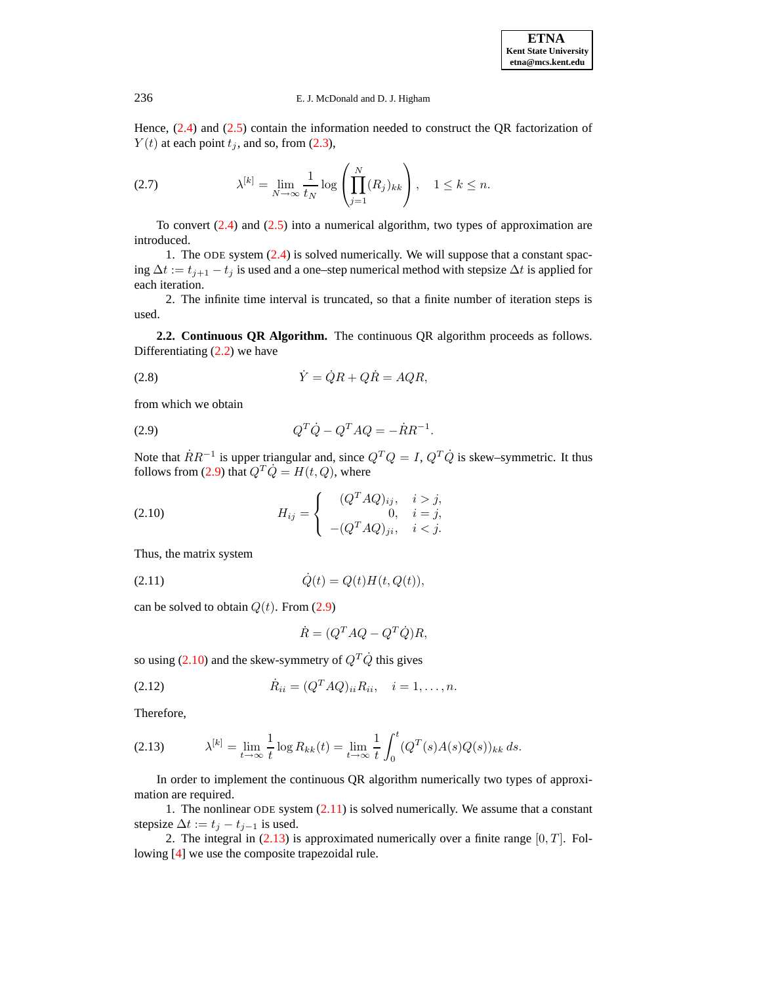Hence, [\(2.4\)](#page-1-2) and [\(2.5\)](#page-1-3) contain the information needed to construct the QR factorization of  $Y(t)$  at each point  $t_j$ , and so, from [\(2.3\)](#page-1-5),

<span id="page-2-4"></span>(2.7) 
$$
\lambda^{[k]} = \lim_{N \to \infty} \frac{1}{t_N} \log \left( \prod_{j=1}^N (R_j)_{kk} \right), \quad 1 \le k \le n.
$$

To convert [\(2.4\)](#page-1-2) and [\(2.5\)](#page-1-3) into a numerical algorithm, two types of approximation are introduced.

1. The ODE system [\(2.4\)](#page-1-2) is solved numerically. We will suppose that a constant spacing  $\Delta t := t_{j+1} - t_j$  is used and a one–step numerical method with stepsize  $\Delta t$  is applied for each iteration.

2. The infinite time interval is truncated, so that a finite number of iteration steps is used.

**2.2. Continuous QR Algorithm.** The continuous QR algorithm proceeds as follows. Differentiating [\(2.2\)](#page-1-6) we have

$$
\dot{Y} = \dot{Q}R + Q\dot{R} = AQR,
$$

from which we obtain

<span id="page-2-0"></span>(2.9) 
$$
Q^T \dot{Q} - Q^T A Q = -\dot{R} R^{-1}.
$$

Note that  $\dot{R}R^{-1}$  is upper triangular and, since  $Q^TQ = I$ ,  $Q^T\dot{Q}$  is skew–symmetric. It thus follows from [\(2.9\)](#page-2-0) that  $Q^T \dot{Q} = H(t, Q)$ , where

<span id="page-2-1"></span>(2.10) 
$$
H_{ij} = \begin{cases} (Q^T A Q)_{ij}, & i > j, \\ 0, & i = j, \\ -(Q^T A Q)_{ji}, & i < j. \end{cases}
$$

Thus, the matrix system

<span id="page-2-2"></span>(2.11) 
$$
\dot{Q}(t) = Q(t)H(t, Q(t)),
$$

can be solved to obtain  $Q(t)$ . From  $(2.9)$ 

$$
\dot{R} = (Q^T A Q - Q^T \dot{Q}) R,
$$

so using [\(2.10\)](#page-2-1) and the skew-symmetry of  $Q^T \dot{Q}$  this gives

(2.12) 
$$
\dot{R}_{ii} = (Q^T A Q)_{ii} R_{ii}, \quad i = 1, ..., n.
$$

Therefore,

<span id="page-2-3"></span>(2.13) 
$$
\lambda^{[k]} = \lim_{t \to \infty} \frac{1}{t} \log R_{kk}(t) = \lim_{t \to \infty} \frac{1}{t} \int_0^t (Q^T(s)A(s)Q(s))_{kk} ds.
$$

In order to implement the continuous QR algorithm numerically two types of approximation are required.

1. The nonlinear ODE system [\(2.11\)](#page-2-2) is solved numerically. We assume that a constant stepsize  $\Delta t := t_j - t_{j-1}$  is used.

2. The integral in  $(2.13)$  is approximated numerically over a finite range  $[0, T]$ . Following [\[4\]](#page-16-0) we use the composite trapezoidal rule.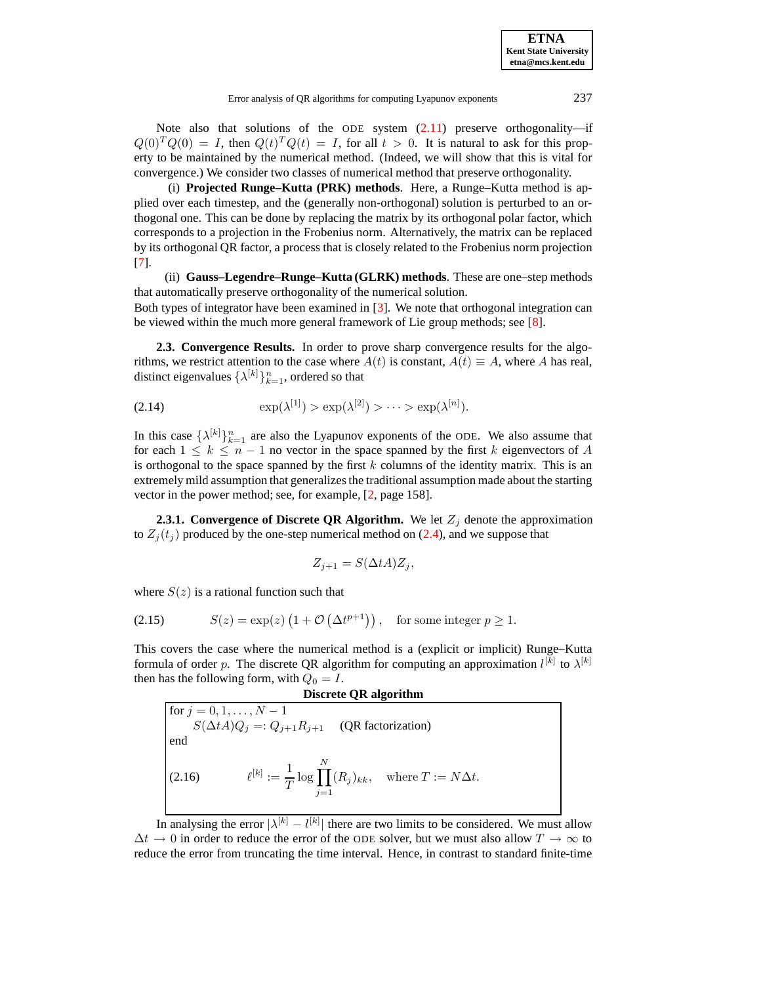Note also that solutions of the ODE system [\(2.11\)](#page-2-2) preserve orthogonality—if  $Q(0)^T Q(0) = I$ , then  $Q(t)^T Q(t) = I$ , for all  $t > 0$ . It is natural to ask for this property to be maintained by the numerical method. (Indeed, we will show that this is vital for convergence.) We consider two classes of numerical method that preserve orthogonality.

(i) **Projected Runge–Kutta (PRK) methods**. Here, a Runge–Kutta method is applied over each timestep, and the (generally non-orthogonal) solution is perturbed to an orthogonal one. This can be done by replacing the matrix by its orthogonal polar factor, which corresponds to a projection in the Frobenius norm. Alternatively, the matrix can be replaced by its orthogonal QR factor, a process that is closely related to the Frobenius norm projection [\[7\]](#page-16-3).

(ii) **Gauss–Legendre–Runge–Kutta (GLRK) methods**. These are one–step methods that automatically preserve orthogonality of the numerical solution.

Both types of integrator have been examined in [\[3\]](#page-16-4). We note that orthogonal integration can be viewed within the much more general framework of Lie group methods; see [\[8\]](#page-16-5).

**2.3. Convergence Results.** In order to prove sharp convergence results for the algorithms, we restrict attention to the case where  $A(t)$  is constant,  $A(t) \equiv A$ , where A has real, distinct eigenvalues  $\{\lambda^{[k]}\}_{k=1}^n$ , ordered so that

<span id="page-3-0"></span>(2.14) 
$$
\exp(\lambda^{[1]}) > \exp(\lambda^{[2]}) > \cdots > \exp(\lambda^{[n]}).
$$

In this case  $\{\lambda^{[k]}\}_{k=1}^n$  are also the Lyapunov exponents of the ODE. We also assume that for each  $1 \leq k \leq n-1$  no vector in the space spanned by the first k eigenvectors of A is orthogonal to the space spanned by the first  $k$  columns of the identity matrix. This is an extremely mild assumption that generalizes the traditional assumption made about the starting vector in the power method; see, for example, [\[2,](#page-16-6) page 158].

**2.3.1.** Convergence of Discrete QR Algorithm. We let  $Z_i$  denote the approximation to  $Z_j(t_j)$  produced by the one-step numerical method on [\(2.4\)](#page-1-2), and we suppose that

$$
Z_{j+1} = S(\Delta t A) Z_j,
$$

where  $S(z)$  is a rational function such that

<span id="page-3-1"></span>(2.15) 
$$
S(z) = \exp(z) \left(1 + \mathcal{O}\left(\Delta t^{p+1}\right)\right), \text{ for some integer } p \ge 1.
$$

This covers the case where the numerical method is a (explicit or implicit) Runge–Kutta formula of order p. The discrete QR algorithm for computing an approximation  $l^{[k]}$  to  $\lambda^{[k]}$ then has the following form, with  $Q_0 = I$ .

**Discrete QR algorithm**  
\nfor 
$$
j = 0, 1, ..., N - 1
$$
  
\n $S(\Delta t A)Q_j =: Q_{j+1}R_{j+1}$  (QR factorization)  
\nend  
\n(2.16) 
$$
\ell^{[k]} := \frac{1}{T} \log \prod_{j=1}^{N} (R_j)_{kk}, \text{ where } T := N \Delta t.
$$

<span id="page-3-2"></span>In analysing the error  $|\lambda^{[k]} - l^{[k]}|$  there are two limits to be considered. We must allow  $\Delta t \to 0$  in order to reduce the error of the ODE solver, but we must also allow  $T \to \infty$  to reduce the error from truncating the time interval. Hence, in contrast to standard finite-time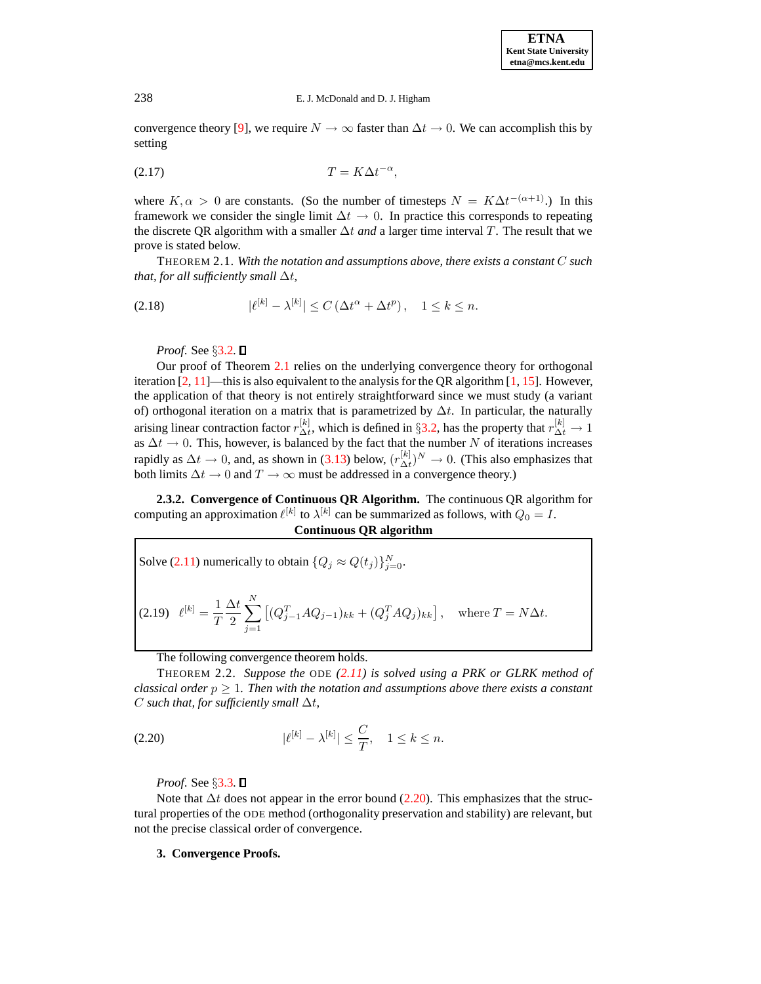convergence theory [\[9\]](#page-16-7), we require  $N \to \infty$  faster than  $\Delta t \to 0$ . We can accomplish this by setting

<span id="page-4-3"></span>
$$
(2.17) \t\t T = K \Delta t^{-\alpha},
$$

where  $K, \alpha > 0$  are constants. (So the number of timesteps  $N = K \Delta t^{-(\alpha+1)}$ .) In this framework we consider the single limit  $\Delta t \rightarrow 0$ . In practice this corresponds to repeating the discrete QR algorithm with a smaller ∆t *and* a larger time interval T. The result that we prove is stated below.

<span id="page-4-1"></span>THEOREM 2.1. *With the notation and assumptions above, there exists a constant* C *such that, for all sufficiently small*  $\Delta t$ *,* 

<span id="page-4-6"></span>
$$
(2.18) \quad |\ell^{[k]} - \lambda^{[k]}| \le C\left(\Delta t^{\alpha} + \Delta t^{p}\right), \quad 1 \le k \le n.
$$

*Proof.* See §[3.2.](#page-5-0) □

Our proof of Theorem [2.1](#page-4-1) relies on the underlying convergence theory for orthogonal iteration [\[2,](#page-16-6) [11\]](#page-17-0)—this is also equivalent to the analysis for the QR algorithm [\[1,](#page-16-8) [15\]](#page-17-1). However, the application of that theory is not entirely straightforward since we must study (a variant of) orthogonal iteration on a matrix that is parametrized by  $\Delta t$ . In particular, the naturally arising linear contraction factor  $r_{\Delta t}^{[k]}$  $\chi_{\Delta t}^{[k]}$ , which is defined in §[3.2,](#page-5-0) has the property that  $r_{\Delta t}^{[k]} \rightarrow 1$ as  $\Delta t \rightarrow 0$ . This, however, is balanced by the fact that the number N of iterations increases rapidly as  $\Delta t \rightarrow 0$ , and, as shown in [\(3.13\)](#page-7-0) below,  $(r_{\Delta t}^{[k]})$  $\frac{\binom{k}{l}}{\Delta t}$ <sup>N</sup>  $\rightarrow$  0. (This also emphasizes that both limits  $\Delta t \to 0$  and  $T \to \infty$  must be addressed in a convergence theory.)

**2.3.2. Convergence of Continuous QR Algorithm.** The continuous QR algorithm for computing an approximation  $\ell^{[k]}$  to  $\lambda^{[k]}$  can be summarized as follows, with  $Q_0 = I$ .

## **Continuous QR algorithm**

<span id="page-4-4"></span>Solve (2.11) numerically to obtain 
$$
\{Q_j \approx Q(t_j)\}_{j=0}^N
$$
.  
\n(2.19) 
$$
\ell^{[k]} = \frac{1}{T} \frac{\Delta t}{2} \sum_{j=1}^N \left[ (Q_{j-1}^T A Q_{j-1})_{kk} + (Q_j^T A Q_j)_{kk} \right], \text{ where } T = N \Delta t.
$$

The following convergence theorem holds.

<span id="page-4-5"></span>THEOREM 2.2. *Suppose the* ODE *[\(2.11\)](#page-2-2) is solved using a PRK or GLRK method of classical order*  $p > 1$ *. Then with the notation and assumptions above there exists a constant* C such that, for sufficiently small  $\Delta t$ ,

(2.20) 
$$
|\ell^{[k]} - \lambda^{[k]}| \leq \frac{C}{T}, \quad 1 \leq k \leq n.
$$

<span id="page-4-2"></span>*Proof.* See §[3.3.](#page-8-0) <del>□</del>

<span id="page-4-0"></span>Note that  $\Delta t$  does not appear in the error bound [\(2.20\)](#page-4-2). This emphasizes that the structural properties of the ODE method (orthogonality preservation and stability) are relevant, but not the precise classical order of convergence.

### **3. Convergence Proofs.**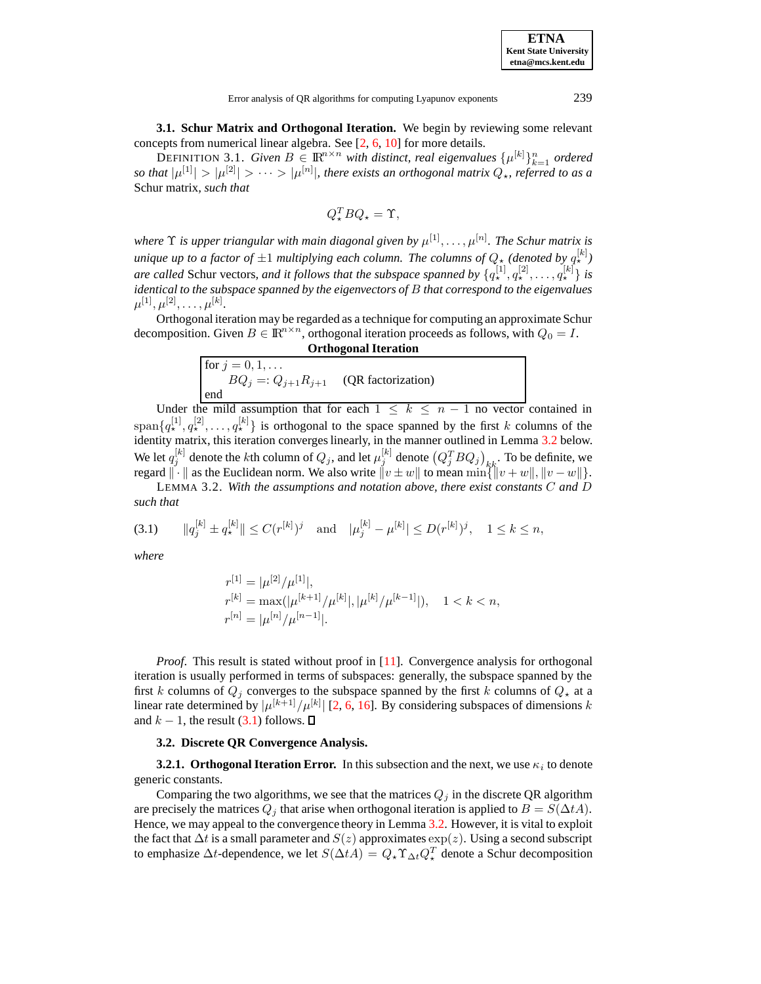<span id="page-5-3"></span>**3.1. Schur Matrix and Orthogonal Iteration.** We begin by reviewing some relevant concepts from numerical linear algebra. See [\[2,](#page-16-6) [6,](#page-16-2) [10\]](#page-17-2) for more details.

DEFINITION 3.1. *Given*  $B \in \mathbb{R}^{n \times n}$  *with distinct, real eigenvalues*  $\{\mu^{[k]}\}_{k=1}^n$  *ordered so that*  $|\mu^{[1]}| > |\mu^{[2]}| > \cdots > |\mu^{[n]}|$ , *there exists an orthogonal matrix*  $Q_{\star}$ *, referred to as a* Schur matrix*, such that*

$$
Q_{\star}^T B Q_{\star} = \Upsilon,
$$

where  $\Upsilon$  is upper triangular with main diagonal given by  $\mu^{[1]},\ldots,\mu^{[n]}.$  The Schur matrix is *unique up to a factor of*  $\pm 1$  *multiplying each column. The columns of*  $Q_{\star}$  *(denoted by*  $q_{\star}^{[k]}$ ) *are* called Schur vectors, and it follows that the subspace spanned by  $\{q^{[1]}_*, q^{[2]}_*, \ldots, q^{[k]}_*\}$  is *identical to the subspace spanned by the eigenvectors of* B *that correspond to the eigenvalues*  $\mu^{[1]}, \mu^{[2]}, \ldots, \mu^{[k]}.$ 

Orthogonal iteration may be regarded as a technique for computing an approximate Schur decomposition. Given  $B \in \mathbb{R}^{n \times n}$ , orthogonal iteration proceeds as follows, with  $Q_0 = I$ .

| <b>Orthogonal Iteration</b> |                    |
|-----------------------------|--------------------|
| for $j = 0, 1, $            |                    |
| $BQ_i =: Q_{i+1}R_{i+1}$    | (QR factorization) |
| end                         |                    |

Under the mild assumption that for each  $1 \leq k \leq n-1$  no vector contained in  $\text{span}\{q_{\star}^{[1]}, q_{\star}^{[2]}, \ldots, q_{\star}^{[k]}\}\$  is orthogonal to the space spanned by the first k columns of the identity matrix, this iteration converges linearly, in the manner outlined in Lemma [3.2](#page-5-1) below. We let  $q_j^{[k]}$  denote the kth column of  $Q_j$ , and let  $\mu_j^{[k]}$  denote  $(Q_j^T B Q_j)_{k,k}$ . To be definite, we regard  $\|\cdot\|$  as the Euclidean norm. We also write  $\|v \pm w\|$  to mean  $\min\{\|v + w\|, \|v - w\|\}.$ 

<span id="page-5-1"></span>LEMMA 3.2. *With the assumptions and notation above, there exist constants* C *and* D *such that*

<span id="page-5-2"></span>
$$
(3.1) \qquad \|q_j^{[k]} \pm q_\star^{[k]}\| \le C (r^{[k]})^j \quad \text{and} \quad |\mu_j^{[k]} - \mu^{[k]}| \le D (r^{[k]})^j, \quad 1 \le k \le n,
$$

*where*

$$
r^{[1]} = |\mu^{[2]}/\mu^{[1]}|,
$$
  
\n
$$
r^{[k]} = \max(|\mu^{[k+1]}/\mu^{[k]}|, |\mu^{[k]}/\mu^{[k-1]}|), \quad 1 < k < n,
$$
  
\n
$$
r^{[n]} = |\mu^{[n]}/\mu^{[n-1]}|.
$$

*Proof.* This result is stated without proof in [\[11\]](#page-17-0). Convergence analysis for orthogonal iteration is usually performed in terms of subspaces: generally, the subspace spanned by the first k columns of  $Q_j$  converges to the subspace spanned by the first k columns of  $Q_*$  at a linear rate determined by  $|\mu^{[k+1]}/\mu^{[k]}|$  [\[2,](#page-16-6) [6,](#page-16-2) [16\]](#page-17-3). By considering subspaces of dimensions k and  $k - 1$ , the result [\(3.1\)](#page-5-2) follows.  $\Box$ 

#### **3.2. Discrete QR Convergence Analysis.**

<span id="page-5-0"></span>**3.2.1. Orthogonal Iteration Error.** In this subsection and the next, we use  $\kappa_i$  to denote generic constants.

Comparing the two algorithms, we see that the matrices  $Q_j$  in the discrete QR algorithm are precisely the matrices  $Q_j$  that arise when orthogonal iteration is applied to  $B = S(\Delta t A)$ . Hence, we may appeal to the convergence theory in Lemma [3.2.](#page-5-1) However, it is vital to exploit the fact that  $\Delta t$  is a small parameter and  $S(z)$  approximates  $\exp(z)$ . Using a second subscript to emphasize  $\Delta t$ -dependence, we let  $S(\Delta t A) = Q_{\star} \Upsilon_{\Delta t} Q_{\star}^T$  denote a Schur decomposition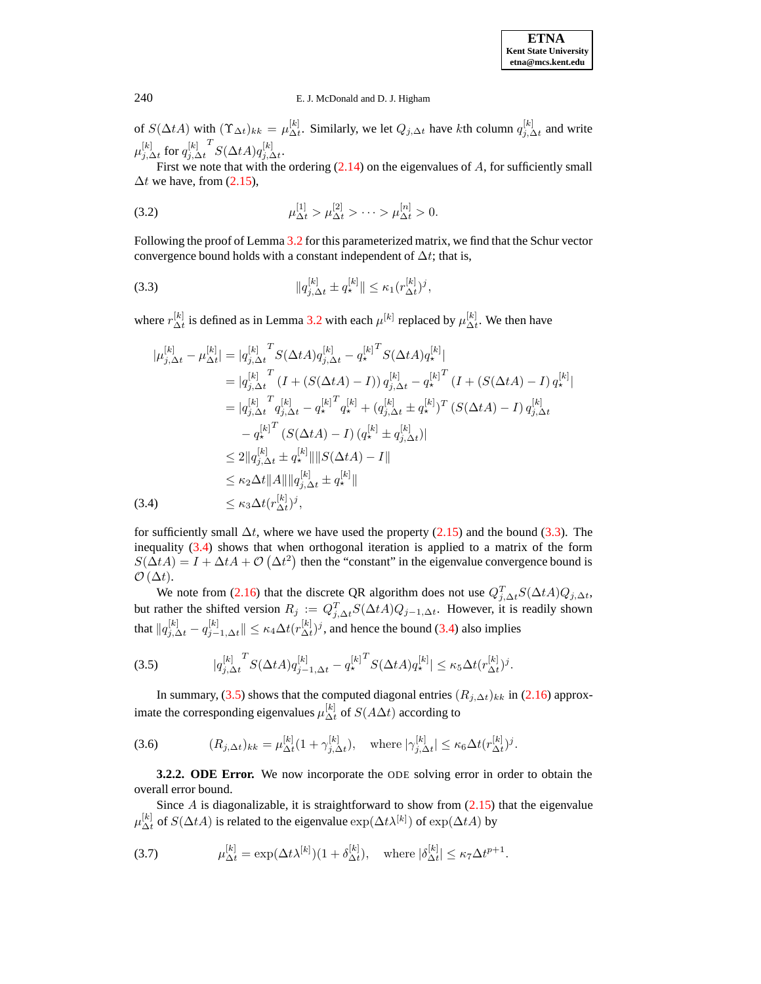of  $S(\Delta t A)$  with  $(\Upsilon_{\Delta t})_{kk} = \mu_{\Delta t}^{[k]}$  $\Delta_t^{[k]}$ . Similarly, we let  $Q_{j,\Delta t}$  have *k*th column  $q_{j,\Delta t}^{[k]}$  $j_{j,\Delta t}^{[\kappa]}$  and write  $\mu^{[k]}_{i.\ell}$  $_{j,\Delta t}^{[k]}$  for  $q_{j,\Delta}^{[k]}$  $_{j,\Delta t}$  $\int_{-S}^{T} S(\Delta t A) q_{i,\Delta}^{[k]}$  $_{j,\Delta t}^{[\kappa]}$ .

First we note that with the ordering  $(2.14)$  on the eigenvalues of  $A$ , for sufficiently small  $\Delta t$  we have, from [\(2.15\)](#page-3-1),

(3.2) 
$$
\mu_{\Delta t}^{[1]} > \mu_{\Delta t}^{[2]} > \cdots > \mu_{\Delta t}^{[n]} > 0.
$$

Following the proof of Lemma [3.2](#page-5-1) for this parameterized matrix, we find that the Schur vector convergence bound holds with a constant independent of  $\Delta t$ ; that is,

<span id="page-6-0"></span>(3.3) 
$$
||q_{j,\Delta t}^{[k]} \pm q_{\star}^{[k]}|| \leq \kappa_1 (r_{\Delta t}^{[k]})^j,
$$

where  $r_{\Delta t}^{[k]}$  $\chi_{\Delta t}^{[k]}$  is defined as in Lemma [3.2](#page-5-1) with each  $\mu^{[k]}$  replaced by  $\mu_{\Delta t}^{[k]}$  $\mathcal{L}^{[\kappa]}$ . We then have

<span id="page-6-1"></span>
$$
|\mu_{j,\Delta t}^{[k]} - \mu_{\Delta t}^{[k]}| = |q_{j,\Delta t}^{[k]} \n\begin{aligned}\nT & S(\Delta t A) q_{j,\Delta t}^{[k]} - q_{\star}^{[k]} \n\end{aligned}\n\leq |q_{j,\Delta t}^{[k]} \n\begin{aligned}\n1 &= |q_{j,\Delta t}^{[k]} \n\begin{aligned}\nT & I + (S(\Delta t A) - I) q_{j,\Delta t}^{[k]} - q_{\star}^{[k]} \n\end{aligned}\n\end{aligned}
$$
\n
$$
= |q_{j,\Delta t}^{[k]} \n\begin{aligned}\nT & I + (S(\Delta t A) - I) q_{j,\Delta t}^{[k]} - q_{j,\Delta t}^{[k]} \n\end{aligned}
$$
\n
$$
= |q_{j,\Delta t}^{[k]} \n\begin{aligned}\nT & q_{j,\Delta t}^{[k]} - q_{j,\Delta t}^{[k]} \n\end{aligned}
$$
\n
$$
- q_{\star}^{[k]} \n\begin{aligned}\nT & (S(\Delta t A) - I) (q_{\star}^{[k]} \pm q_{j,\Delta t}^{[k]})^T (S(\Delta t A) - I) q_{j,\Delta t}^{[k]} \\
&\leq 2 \|q_{j,\Delta t}^{[k]} \pm q_{\star}^{[k]} \| \|S(\Delta t A) - I\| \\
&\leq \kappa_2 \Delta t \|A\| \|q_{j,\Delta t}^{[k]} \pm q_{\star}^{[k]}\n\end{aligned}
$$
\n(3.4)\n
$$
\leq \kappa_3 \Delta t (r_{\Delta t}^{[k]})^j,
$$

for sufficiently small  $\Delta t$ , where we have used the property [\(2.15\)](#page-3-1) and the bound [\(3.3\)](#page-6-0). The inequality [\(3.4\)](#page-6-1) shows that when orthogonal iteration is applied to a matrix of the form  $S(\Delta t A) = I + \Delta t A + \mathcal{O}(\Delta t^2)$  then the "constant" in the eigenvalue convergence bound is  $\mathcal{O}(\Delta t)$ .

We note from [\(2.16\)](#page-3-2) that the discrete QR algorithm does not use  $Q_{j,\Delta t}^T S(\Delta t A) Q_{j,\Delta t}$ , but rather the shifted version  $R_j := Q_{j,\Delta t}^T S(\Delta t A) Q_{j-1,\Delta t}$ . However, it is readily shown that  $||q_{j,\Delta t}^{[k]} - q_{j-1,\Delta t}^{[k]}|| \leq \kappa_4 \Delta t (r_{\Delta t}^{[k]}$  $\Delta t^{[k]}$ )<sup>j</sup>, and hence the bound [\(3.4\)](#page-6-1) also implies

<span id="page-6-2"></span>(3.5) 
$$
|q_{j,\Delta t}^{[k]}^{T} S(\Delta t A) q_{j-1,\Delta t}^{[k]} - q_{\star}^{[k]}^{T} S(\Delta t A) q_{\star}^{[k]}| \leq \kappa_{5} \Delta t (r_{\Delta t}^{[k]})^{j}.
$$

In summary, [\(3.5\)](#page-6-2) shows that the computed diagonal entries  $(R_{j,\Delta t})_{kk}$  in [\(2.16\)](#page-3-2) approximate the corresponding eigenvalues  $\mu_{\Delta t}^{[k]}$  $\Delta_t^{[k]}$  of  $S(A\Delta t)$  according to

<span id="page-6-3"></span>(3.6) 
$$
(R_{j,\Delta t})_{kk} = \mu_{\Delta t}^{[k]}(1+\gamma_{j,\Delta t}^{[k]}), \text{ where } |\gamma_{j,\Delta t}^{[k]}| \le \kappa_6 \Delta t (r_{\Delta t}^{[k]})^j.
$$

**3.2.2. ODE Error.** We now incorporate the ODE solving error in order to obtain the overall error bound.

Since  $A$  is diagonalizable, it is straightforward to show from  $(2.15)$  that the eigenvalue  $\mu_{\Delta t}^{[k]}$  $\Delta_t^{[k]}$  of  $S(\Delta tA)$  is related to the eigenvalue  $\exp(\Delta t\lambda^{[k]})$  of  $\exp(\Delta tA)$  by

<span id="page-6-4"></span>(3.7) 
$$
\mu_{\Delta t}^{[k]} = \exp(\Delta t \lambda^{[k]})(1 + \delta_{\Delta t}^{[k]}), \text{ where } |\delta_{\Delta t}^{[k]}| \le \kappa_7 \Delta t^{p+1}.
$$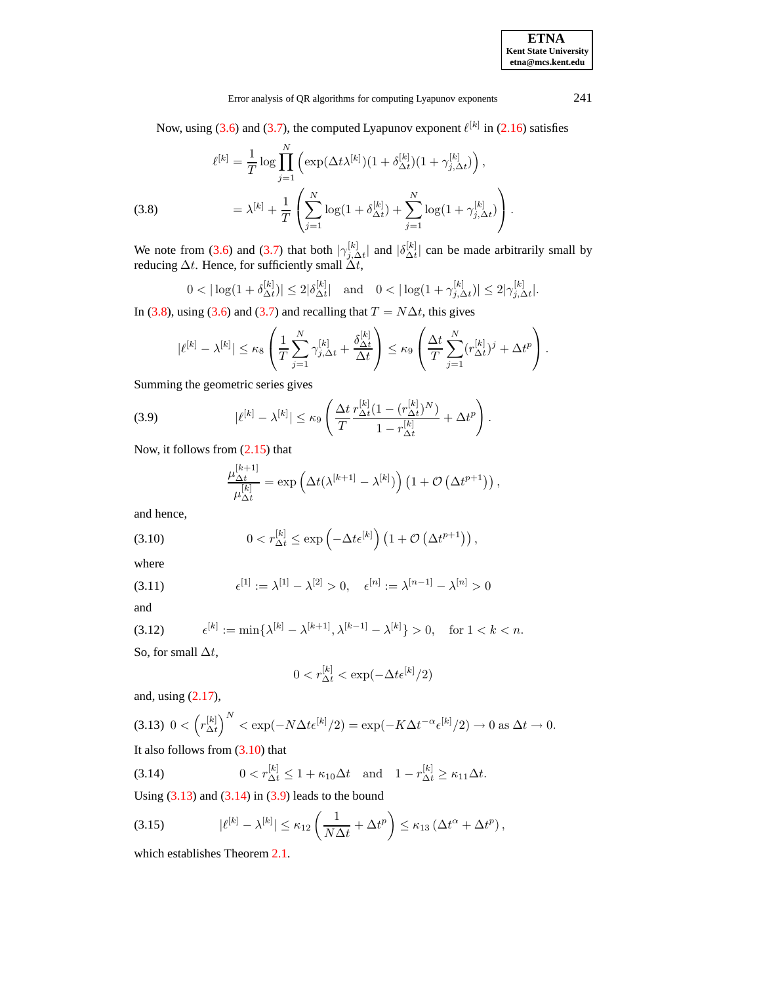**ETNA Kent State University etna@mcs.kent.edu**

## Error analysis of QR algorithms for computing Lyapunov exponents 241

Now, using [\(3.6\)](#page-6-3) and [\(3.7\)](#page-6-4), the computed Lyapunov exponent  $\ell^{[k]}$  in [\(2.16\)](#page-3-2) satisfies

<span id="page-7-1"></span>(3.8) 
$$
\ell^{[k]} = \frac{1}{T} \log \prod_{j=1}^{N} \left( \exp(\Delta t \lambda^{[k]}) (1 + \delta_{\Delta t}^{[k]}) (1 + \gamma_{j,\Delta t}^{[k]}) \right),
$$

$$
= \lambda^{[k]} + \frac{1}{T} \left( \sum_{j=1}^{N} \log(1 + \delta_{\Delta t}^{[k]}) + \sum_{j=1}^{N} \log(1 + \gamma_{j,\Delta t}^{[k]}) \right).
$$

We note from [\(3.6\)](#page-6-3) and [\(3.7\)](#page-6-4) that both  $|\gamma_{j,\ell}^{[k]}|$  $\begin{array}{c} [k] \ j, \Delta t \end{array}$  and  $\begin{array}{c} | \delta_{\Delta t}^{[k]} \end{array}$  $\Delta t$  can be made arbitrarily small by reducing  $\Delta t$ . Hence, for sufficiently small  $\Delta t$ ,

$$
0 < |\log(1+\delta_{\Delta t}^{[k]})| \le 2|\delta_{\Delta t}^{[k]}| \quad \text{and} \quad 0 < |\log(1+\gamma_{j,\Delta t}^{[k]})| \le 2|\gamma_{j,\Delta t}^{[k]}|.
$$

In [\(3.8\)](#page-7-1), using [\(3.6\)](#page-6-3) and [\(3.7\)](#page-6-4) and recalling that  $T = N\Delta t$ , this gives

$$
|\ell^{[k]} - \lambda^{[k]}| \le \kappa_8 \left( \frac{1}{T} \sum_{j=1}^N \gamma_{j,\Delta t}^{[k]} + \frac{\delta_{\Delta t}^{[k]}}{\Delta t} \right) \le \kappa_9 \left( \frac{\Delta t}{T} \sum_{j=1}^N (r_{\Delta t}^{[k]})^j + \Delta t^p \right).
$$

Summing the geometric series gives

<span id="page-7-4"></span>(3.9) 
$$
|\ell^{[k]} - \lambda^{[k]}| \leq \kappa_9 \left( \frac{\Delta t}{T} \frac{r_{\Delta t}^{[k]} (1 - (r_{\Delta t}^{[k]})^N)}{1 - r_{\Delta t}^{[k]}} + \Delta t^p \right).
$$

Now, it follows from [\(2.15\)](#page-3-1) that

$$
\frac{\mu_{\Delta t}^{[k+1]}}{\mu_{\Delta t}^{[k]}} = \exp\left(\Delta t (\lambda^{[k+1]} - \lambda^{[k]})\right) \left(1 + \mathcal{O}\left(\Delta t^{p+1}\right)\right),\,
$$

and hence,

<span id="page-7-2"></span>(3.10) 
$$
0 < r_{\Delta t}^{[k]} \le \exp\left(-\Delta t \epsilon^{[k]}\right) \left(1 + \mathcal{O}\left(\Delta t^{p+1}\right)\right),
$$

where

<span id="page-7-5"></span>(3.11) 
$$
\epsilon^{[1]} := \lambda^{[1]} - \lambda^{[2]} > 0, \quad \epsilon^{[n]} := \lambda^{[n-1]} - \lambda^{[n]} > 0
$$

and

<span id="page-7-6"></span>
$$
(3.12) \qquad \epsilon^{[k]} := \min\{\lambda^{[k]} - \lambda^{[k+1]}, \lambda^{[k-1]} - \lambda^{[k]}\} > 0, \quad \text{for } 1 < k < n.
$$

So, for small  $\Delta t$ ,

$$
0 < r_{\Delta t}^{[k]} < \exp(-\Delta t \epsilon^{[k]}/2)
$$

and, using [\(2.17\)](#page-4-3),

<span id="page-7-0"></span>
$$
(3.13)\ \ 0 < \left(r_{\Delta t}^{[k]}\right)^N < \exp(-N\Delta t \epsilon^{[k]}/2) = \exp(-K\Delta t^{-\alpha} \epsilon^{[k]}/2) \to 0 \text{ as } \Delta t \to 0.
$$

It also follows from  $(3.10)$  that

<span id="page-7-3"></span>(3.14) 
$$
0 < r_{\Delta t}^{[k]} \leq 1 + \kappa_{10} \Delta t \quad \text{and} \quad 1 - r_{\Delta t}^{[k]} \geq \kappa_{11} \Delta t.
$$

Using  $(3.13)$  and  $(3.14)$  in  $(3.9)$  leads to the bound

(3.15) 
$$
|\ell^{[k]} - \lambda^{[k]}| \leq \kappa_{12} \left( \frac{1}{N\Delta t} + \Delta t^p \right) \leq \kappa_{13} \left( \Delta t^{\alpha} + \Delta t^p \right),
$$

which establishes Theorem [2.1.](#page-4-1)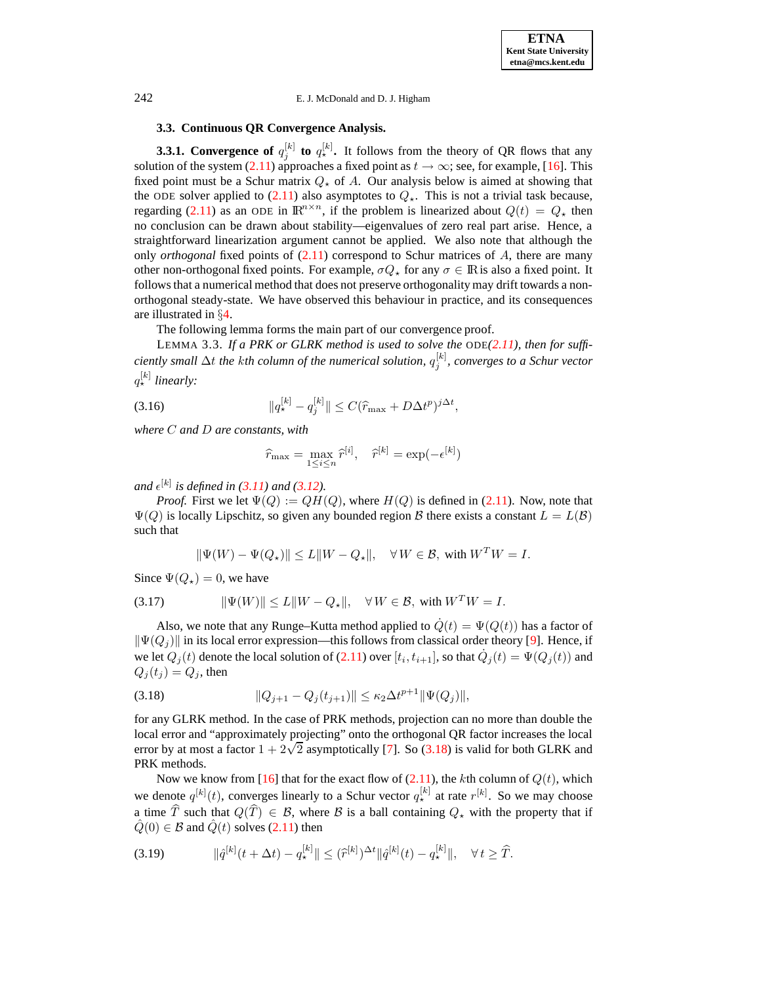## **3.3. Continuous QR Convergence Analysis.**

<span id="page-8-0"></span>**3.3.1. Convergence of**  $q_j^{[k]}$  **to**  $q_{\star}^{[k]}$ **. It follows from the theory of QR flows that any** solution of the system [\(2.11\)](#page-2-2) approaches a fixed point as  $t \to \infty$ ; see, for example, [\[16\]](#page-17-3). This fixed point must be a Schur matrix  $Q_{\star}$  of A. Our analysis below is aimed at showing that the ODE solver applied to [\(2.11\)](#page-2-2) also asymptotes to  $Q_{\star}$ . This is not a trivial task because, regarding [\(2.11\)](#page-2-2) as an ODE in  $\mathbb{R}^{n \times n}$ , if the problem is linearized about  $Q(t) = Q_*$  then no conclusion can be drawn about stability—eigenvalues of zero real part arise. Hence, a straightforward linearization argument cannot be applied. We also note that although the only *orthogonal* fixed points of  $(2.11)$  correspond to Schur matrices of A, there are many other non-orthogonal fixed points. For example,  $\sigma Q_{\star}$  for any  $\sigma \in \mathbb{R}$  is also a fixed point. It follows that a numerical method that does not preserve orthogonality may drift towards a nonorthogonal steady-state. We have observed this behaviour in practice, and its consequences are illustrated in §[4.](#page-10-0)

The following lemma forms the main part of our convergence proof.

<span id="page-8-5"></span>LEMMA 3.3. If a PRK or GLRK method is used to solve the ODE $(2.11)$ *, then for sufficiently small* ∆t *the* k*th column of the numerical solution,* q [k] j *, converges to a Schur vector* q [k] ? *linearly:*

<span id="page-8-2"></span>(3.16) 
$$
||q_{\star}^{[k]} - q_j^{[k]}|| \leq C(\hat{r}_{\text{max}} + D\Delta t^p)^{j\Delta t},
$$

*where* C *and* D *are constants, with*

$$
\widehat{r}_{\max} = \max_{1 \le i \le n} \widehat{r}^{[i]}, \quad \widehat{r}^{[k]} = \exp(-\epsilon^{[k]})
$$

and  $\epsilon^{[k]}$  is defined in [\(3.11\)](#page-7-5) and [\(3.12\)](#page-7-6).

*Proof.* First we let  $\Psi(Q) := QH(Q)$ , where  $H(Q)$  is defined in [\(2.11\)](#page-2-2). Now, note that  $\Psi(Q)$  is locally Lipschitz, so given any bounded region B there exists a constant  $L = L(B)$ such that

$$
\|\Psi(W) - \Psi(Q_\star)\| \le L\|W - Q_\star\|, \quad \forall \, W \in \mathcal{B}, \text{ with } W^T W = I.
$$

Since  $\Psi(Q_{\star}) = 0$ , we have

<span id="page-8-3"></span>
$$
(3.17) \t\t\t ||\Psi(W)|| \le L||W - Q_*||, \quad \forall W \in \mathcal{B}, \text{ with } W^T W = I.
$$

Also, we note that any Runge–Kutta method applied to  $Q(t) = \Psi(Q(t))$  has a factor of  $\|\Psi(Q_i)\|$  in its local error expression—this follows from classical order theory [\[9\]](#page-16-7). Hence, if we let  $Q_j(t)$  denote the local solution of [\(2.11\)](#page-2-2) over  $[t_i, t_{i+1}]$ , so that  $\dot{Q}_j(t) = \Psi(Q_j(t))$  and  $Q_i(t_j) = Q_i$ , then

<span id="page-8-1"></span>
$$
(3.18) \t\t\t ||Q_{j+1} - Q_j(t_{j+1})|| \le \kappa_2 \Delta t^{p+1} ||\Psi(Q_j)||,
$$

for any GLRK method. In the case of PRK methods, projection can no more than double the local error and "approximately projecting" onto the orthogonal QR factor increases the local error by at most a factor  $1 + 2\sqrt{2}$  asymptotically [\[7\]](#page-16-3). So [\(3.18\)](#page-8-1) is valid for both GLRK and PRK methods.

Now we know from [\[16\]](#page-17-3) that for the exact flow of  $(2.11)$ , the kth column of  $Q(t)$ , which we denote  $q^{[k]}(t)$ , converges linearly to a Schur vector  $q_{\star}^{[k]}$  at rate  $r^{[k]}$ . So we may choose a time  $\hat{T}$  such that  $Q(\hat{T}) \in \mathcal{B}$ , where  $\hat{\mathcal{B}}$  is a ball containing  $Q_{\star}$  with the property that if  $\hat{Q}(0) \in \mathcal{B}$  and  $\hat{Q}(t)$  solves [\(2.11\)](#page-2-2) then

<span id="page-8-4"></span>
$$
(3.19) \t||\hat{q}^{[k]}(t+\Delta t)-q^{[k]}_*|| \leq (\widehat{r}^{[k]})^{\Delta t}||\hat{q}^{[k]}(t)-q^{[k]}_*||, \quad \forall \, t \geq \widehat{T}.
$$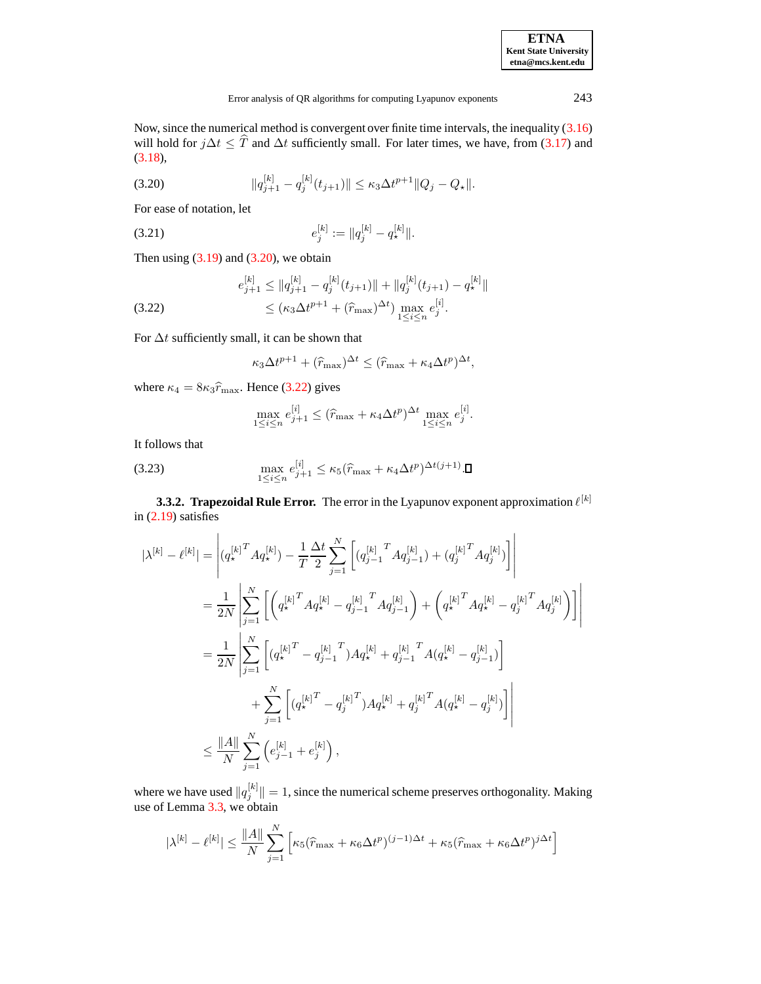Now, since the numerical method is convergent over finite time intervals, the inequality [\(3.16\)](#page-8-2) will hold for  $j\Delta t \leq \hat{T}$  and  $\Delta t$  sufficiently small. For later times, we have, from [\(3.17\)](#page-8-3) and [\(3.18\)](#page-8-1),

<span id="page-9-0"></span>
$$
(3.20) \t\t\t ||q_{j+1}^{[k]} - q_j^{[k]}(t_{j+1})|| \leq \kappa_3 \Delta t^{p+1} ||Q_j - Q_*||.
$$

For ease of notation, let

(3.21) 
$$
e_j^{[k]} := ||q_j^{[k]} - q_\star^{[k]}||.
$$

Then using  $(3.19)$  and  $(3.20)$ , we obtain

<span id="page-9-1"></span>
$$
e_{j+1}^{[k]} \le ||q_{j+1}^{[k]} - q_j^{[k]}(t_{j+1})|| + ||q_j^{[k]}(t_{j+1}) - q_{\star}^{[k]}||
$$
  
(3.22)  

$$
\le (\kappa_3 \Delta t^{p+1} + (\widehat{r}_{\max})^{\Delta t}) \max_{1 \le i \le n} e_j^{[i]}.
$$

For  $\Delta t$  sufficiently small, it can be shown that

$$
\kappa_3 \Delta t^{p+1} + (\widehat{r}_{\text{max}})^{\Delta t} \leq (\widehat{r}_{\text{max}} + \kappa_4 \Delta t^p)^{\Delta t},
$$

where  $\kappa_4 = 8\kappa_3 \hat{r}_{\text{max}}$ . Hence [\(3.22\)](#page-9-1) gives

$$
\max_{1 \le i \le n} e_{j+1}^{[i]} \le (\widehat{r}_{\max} + \kappa_4 \Delta t^p)^{\Delta t} \max_{1 \le i \le n} e_j^{[i]}.
$$

It follows that

$$
\max_{1 \le i \le n} e_{j+1}^{[i]} \le \kappa_5 (\widehat{r}_{\max} + \kappa_4 \Delta t^p)^{\Delta t (j+1)} \mathbf{\Pi}
$$

**3.3.2. Trapezoidal Rule Error.** The error in the Lyapunov exponent approximation  $\ell^{[k]}$ in [\(2.19\)](#page-4-4) satisfies

$$
\begin{split} |\lambda^{[k]} - \ell^{[k]}| &= \left| (q_{\star}^{[k]}{}^T A q_{\star}^{[k]}) - \frac{1}{T} \frac{\Delta t}{2} \sum_{j=1}^N \left[ \left( q_{j-1}^{[k]}{}^T A q_{j-1}^{[k]} \right) + \left( q_j^{[k]}{}^T A q_j^{[k]} \right) \right] \right| \\ &= \frac{1}{2N} \left| \sum_{j=1}^N \left[ \left( q_{\star}^{[k]}{}^T A q_{\star}^{[k]} - q_{j-1}^{[k]}{}^T A q_{j-1}^{[k]} \right) + \left( q_{\star}^{[k]}{}^T A q_{\star}^{[k]} - q_j^{[k]}{}^T A q_j^{[k]} \right) \right] \right| \\ &= \frac{1}{2N} \left| \sum_{j=1}^N \left[ (q_{\star}^{[k]}{}^T - q_{j-1}^{[k]}{}^T) A q_{\star}^{[k]} + q_{j-1}^{[k]}{}^T A (q_{\star}^{[k]} - q_{j-1}^{[k]}) \right] \right| \\ &+ \sum_{j=1}^N \left[ (q_{\star}^{[k]}{}^T - q_j^{[k]}{}^T) A q_{\star}^{[k]} + q_j^{[k]}{}^T A (q_{\star}^{[k]} - q_j^{[k]}) \right] \right| \\ &\leq \frac{||A||}{N} \sum_{j=1}^N \left( e_{j-1}^{[k]} + e_j^{[k]} \right), \end{split}
$$

where we have used  $||q_j^{[k]}|| = 1$ , since the numerical scheme preserves orthogonality. Making use of Lemma [3.3,](#page-8-5) we obtain

$$
|\lambda^{[k]} - \ell^{[k]}| \le \frac{\|A\|}{N} \sum_{j=1}^N \left[ \kappa_5 (\widehat{r}_{\max} + \kappa_6 \Delta t^p)^{(j-1)\Delta t} + \kappa_5 (\widehat{r}_{\max} + \kappa_6 \Delta t^p)^{j\Delta t} \right]
$$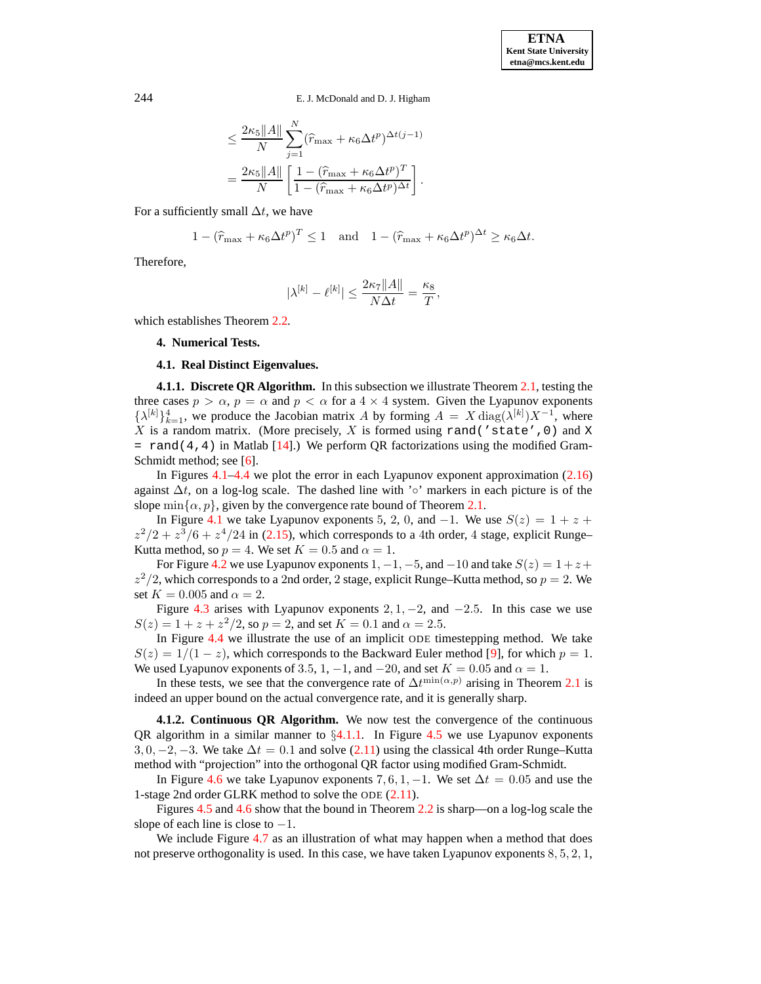$$
\leq \frac{2\kappa_5\|A\|}{N} \sum_{j=1}^N (\widehat{r}_{\max} + \kappa_6 \Delta t^p)^{\Delta t (j-1)}
$$

$$
= \frac{2\kappa_5\|A\|}{N} \left[ \frac{1 - (\widehat{r}_{\max} + \kappa_6 \Delta t^p)^T}{1 - (\widehat{r}_{\max} + \kappa_6 \Delta t^p)^{\Delta t}} \right].
$$

For a sufficiently small  $\Delta t$ , we have

$$
1 - (\widehat{r}_{\max} + \kappa_6 \Delta t^p)^T \le 1
$$
 and  $1 - (\widehat{r}_{\max} + \kappa_6 \Delta t^p)^{\Delta t} \ge \kappa_6 \Delta t$ .

Therefore,

$$
|\lambda^{[k]} - \ell^{[k]}| \le \frac{2\kappa_7 ||A||}{N\Delta t} = \frac{\kappa_8}{T},
$$

<span id="page-10-0"></span>which establishes Theorem [2.2.](#page-4-5)

### **4. Numerical Tests.**

### **4.1. Real Distinct Eigenvalues.**

<span id="page-10-1"></span>**4.1.1. Discrete QR Algorithm.** In this subsection we illustrate Theorem [2.1,](#page-4-1) testing the three cases  $p > \alpha$ ,  $p = \alpha$  and  $p < \alpha$  for a  $4 \times 4$  system. Given the Lyapunov exponents  ${\lambda^{[k]}}_{k=1}^4$ , we produce the Jacobian matrix A by forming  $A = X \text{diag}(\lambda^{[k]}) X^{-1}$ , where  $X$  is a random matrix. (More precisely,  $X$  is formed using rand('state',0) and X  $=$  rand(4,4) in Matlab [\[14\]](#page-17-4).) We perform QR factorizations using the modified Gram-Schmidt method; see [\[6\]](#page-16-2).

In Figures [4.1](#page-11-0)[–4.4](#page-12-0) we plot the error in each Lyapunov exponent approximation [\(2.16\)](#page-3-2) against  $\Delta t$ , on a log-log scale. The dashed line with '∘' markers in each picture is of the slope min $\{\alpha, p\}$ , given by the convergence rate bound of Theorem [2.1.](#page-4-1)

In Figure [4.1](#page-11-0) we take Lyapunov exponents 5, 2, 0, and  $-1$ . We use  $S(z) = 1 + z +$  $z^2/2 + z^3/6 + z^4/24$  in [\(2.15\)](#page-3-1), which corresponds to a 4th order, 4 stage, explicit Runge– Kutta method, so  $p = 4$ . We set  $K = 0.5$  and  $\alpha = 1$ .

For Figure [4.2](#page-11-1) we use Lyapunov exponents  $1, -1, -5$ , and  $-10$  and take  $S(z) = 1 + z +$  $z^2/2$ , which corresponds to a 2nd order, 2 stage, explicit Runge–Kutta method, so  $p = 2$ . We set  $K = 0.005$  and  $\alpha = 2$ .

Figure [4.3](#page-12-1) arises with Lyapunov exponents  $2, 1, -2$ , and  $-2.5$ . In this case we use  $S(z) = 1 + z + z^2/2$ , so  $p = 2$ , and set  $K = 0.1$  and  $\alpha = 2.5$ .

In Figure [4.4](#page-12-0) we illustrate the use of an implicit ODE timestepping method. We take  $S(z) = 1/(1-z)$ , which corresponds to the Backward Euler method [\[9\]](#page-16-7), for which  $p = 1$ . We used Lyapunov exponents of 3.5, 1,  $-1$ , and  $-20$ , and set  $K = 0.05$  and  $\alpha = 1$ .

In these tests, we see that the convergence rate of  $\Delta t^{\min(\alpha, p)}$  arising in Theorem [2.1](#page-4-1) is indeed an upper bound on the actual convergence rate, and it is generally sharp.

**4.1.2. Continuous QR Algorithm.** We now test the convergence of the continuous QR algorithm in a similar manner to  $\S 4.1.1$ . In Figure [4.5](#page-13-0) we use Lyapunov exponents 3, 0,  $-2$ ,  $-3$ . We take  $\Delta t = 0.1$  and solve [\(2.11\)](#page-2-2) using the classical 4th order Runge–Kutta method with "projection" into the orthogonal QR factor using modified Gram-Schmidt.

In Figure [4.6](#page-13-1) we take Lyapunov exponents 7, 6, 1, –1. We set  $\Delta t = 0.05$  and use the 1-stage 2nd order GLRK method to solve the ODE [\(2.11\)](#page-2-2).

Figures [4.5](#page-13-0) and [4.6](#page-13-1) show that the bound in Theorem [2.2](#page-4-5) is sharp—on a log-log scale the slope of each line is close to  $-1$ .

We include Figure [4.7](#page-14-0) as an illustration of what may happen when a method that does not preserve orthogonality is used. In this case, we have taken Lyapunov exponents  $8, 5, 2, 1$ ,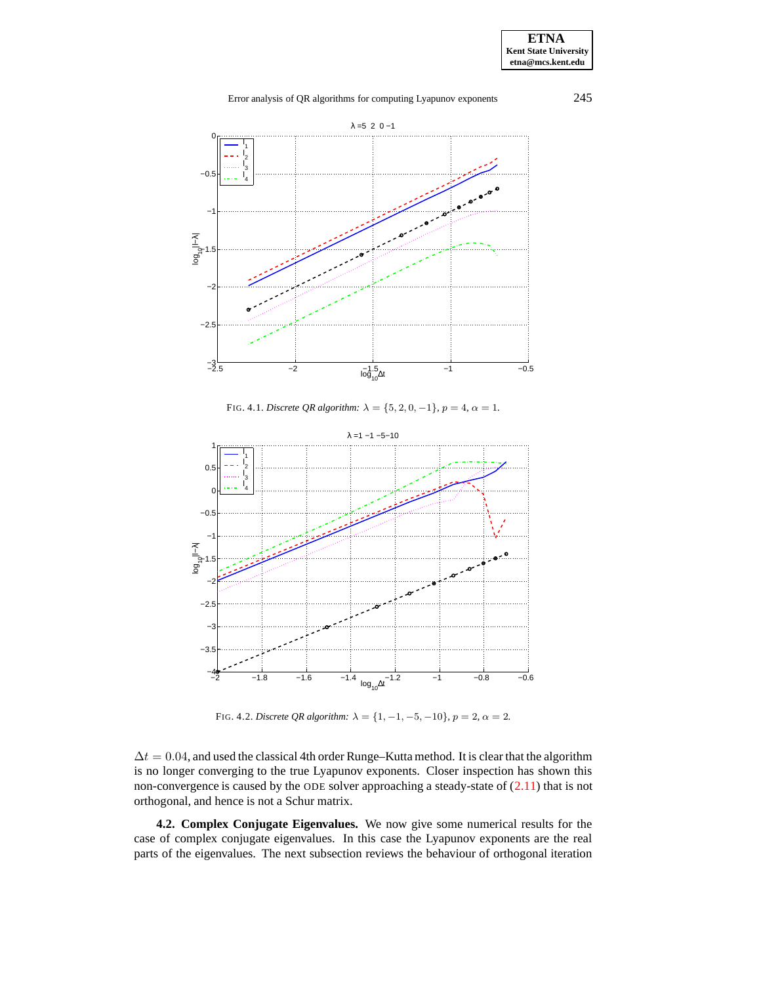## Error analysis of QR algorithms for computing Lyapunov exponents 245



FIG. 4.1. *Discrete QR algorithm:*  $\lambda = \{5, 2, 0, -1\}$ ,  $p = 4$ ,  $\alpha = 1$ .

<span id="page-11-0"></span>

FIG. 4.2. *Discrete QR algorithm*:  $\lambda = \{1, -1, -5, -10\}$ ,  $p = 2$ ,  $\alpha = 2$ .

<span id="page-11-1"></span> $\Delta t = 0.04$ , and used the classical 4th order Runge–Kutta method. It is clear that the algorithm is no longer converging to the true Lyapunov exponents. Closer inspection has shown this non-convergence is caused by the ODE solver approaching a steady-state of  $(2.11)$  that is not orthogonal, and hence is not a Schur matrix.

**4.2. Complex Conjugate Eigenvalues.** We now give some numerical results for the case of complex conjugate eigenvalues. In this case the Lyapunov exponents are the real parts of the eigenvalues. The next subsection reviews the behaviour of orthogonal iteration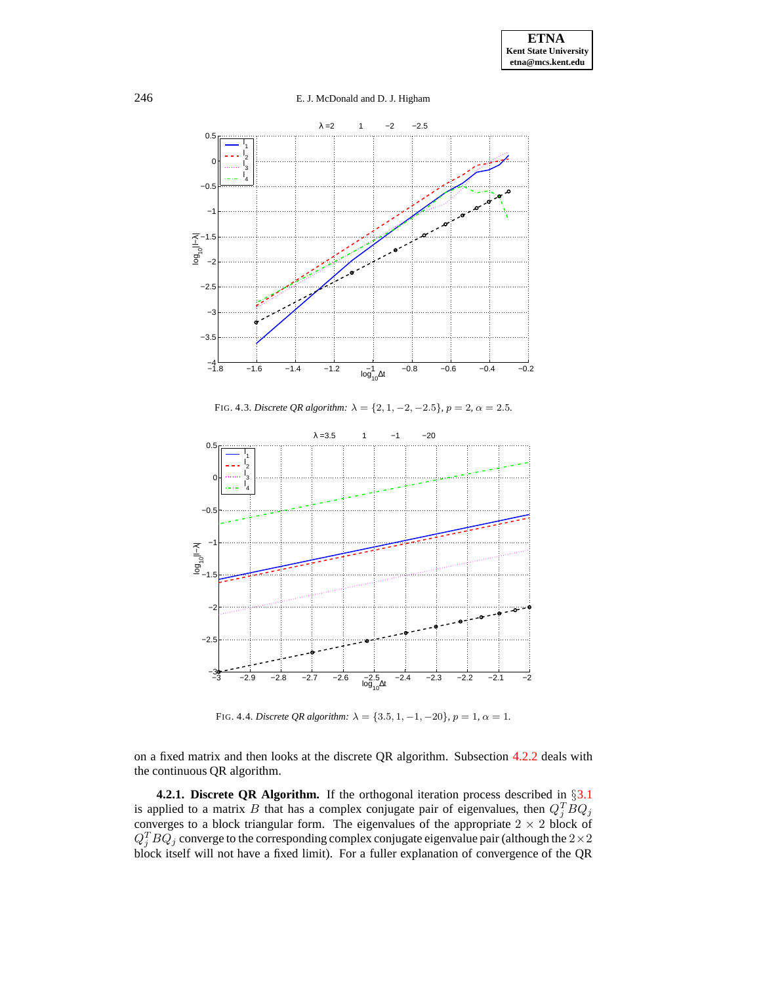

FIG. 4.3. *Discrete QR algorithm:*  $\lambda = \{2, 1, -2, -2.5\}$ ,  $p = 2$ ,  $\alpha = 2.5$ .

<span id="page-12-1"></span>

FIG. 4.4. *Discrete QR algorithm:*  $\lambda = \{3.5, 1, -1, -20\}$ ,  $p = 1$ ,  $\alpha = 1$ .

<span id="page-12-0"></span>on a fixed matrix and then looks at the discrete QR algorithm. Subsection [4.2.2](#page-15-1) deals with the continuous QR algorithm.

**4.2.1. Discrete QR Algorithm.** If the orthogonal iteration process described in §[3.1](#page-5-3) is applied to a matrix B that has a complex conjugate pair of eigenvalues, then  $Q_j^T B Q_j$ converges to a block triangular form. The eigenvalues of the appropriate  $2 \times 2$  block of  $Q_j^T B Q_j$  converge to the corresponding complex conjugate eigenvalue pair (although the  $2 \times 2$ block itself will not have a fixed limit). For a fuller explanation of convergence of the QR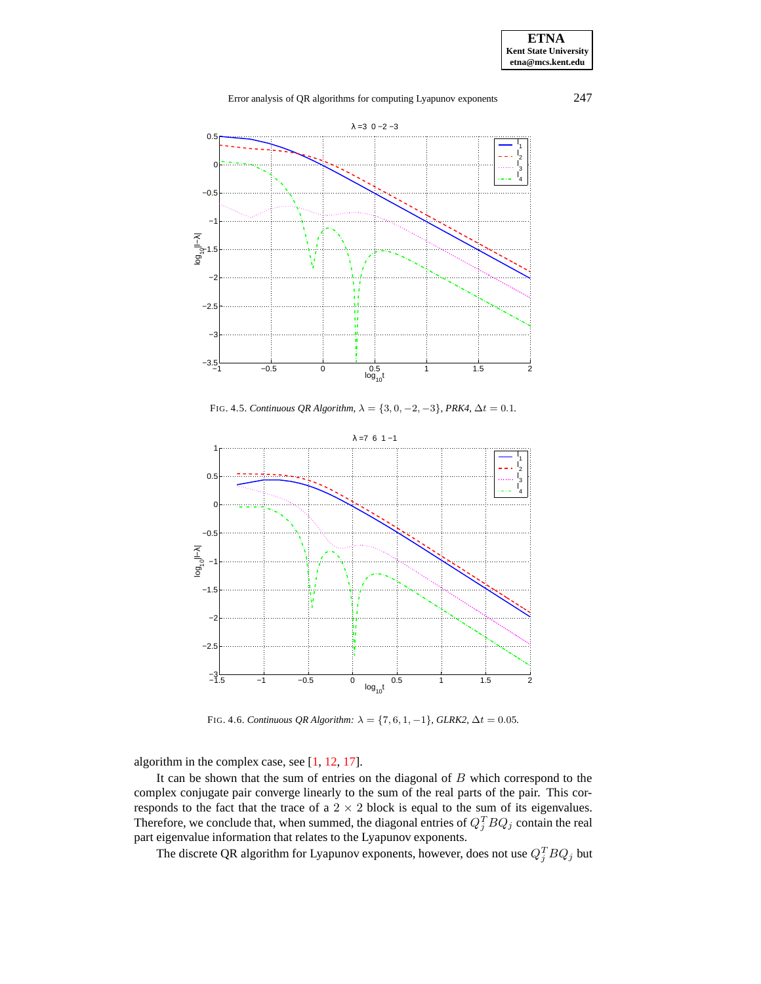## Error analysis of QR algorithms for computing Lyapunov exponents 247



FIG. 4.5. *Continuous QR Algorithm,*  $\lambda = \{3, 0, -2, -3\}$ *, PRK4,*  $\Delta t = 0.1$ *.* 

<span id="page-13-0"></span>

FIG. 4.6. *Continuous QR Algorithm:*  $\lambda = \{7, 6, 1, -1\}$ *, GLRK2,*  $\Delta t = 0.05$ *.* 

<span id="page-13-1"></span>algorithm in the complex case, see [\[1,](#page-16-8) [12,](#page-17-5) [17\]](#page-17-6).

It can be shown that the sum of entries on the diagonal of  $B$  which correspond to the complex conjugate pair converge linearly to the sum of the real parts of the pair. This corresponds to the fact that the trace of a  $2 \times 2$  block is equal to the sum of its eigenvalues. Therefore, we conclude that, when summed, the diagonal entries of  $Q_j^T B Q_j$  contain the real part eigenvalue information that relates to the Lyapunov exponents.

The discrete QR algorithm for Lyapunov exponents, however, does not use  $Q_j^T B Q_j$  but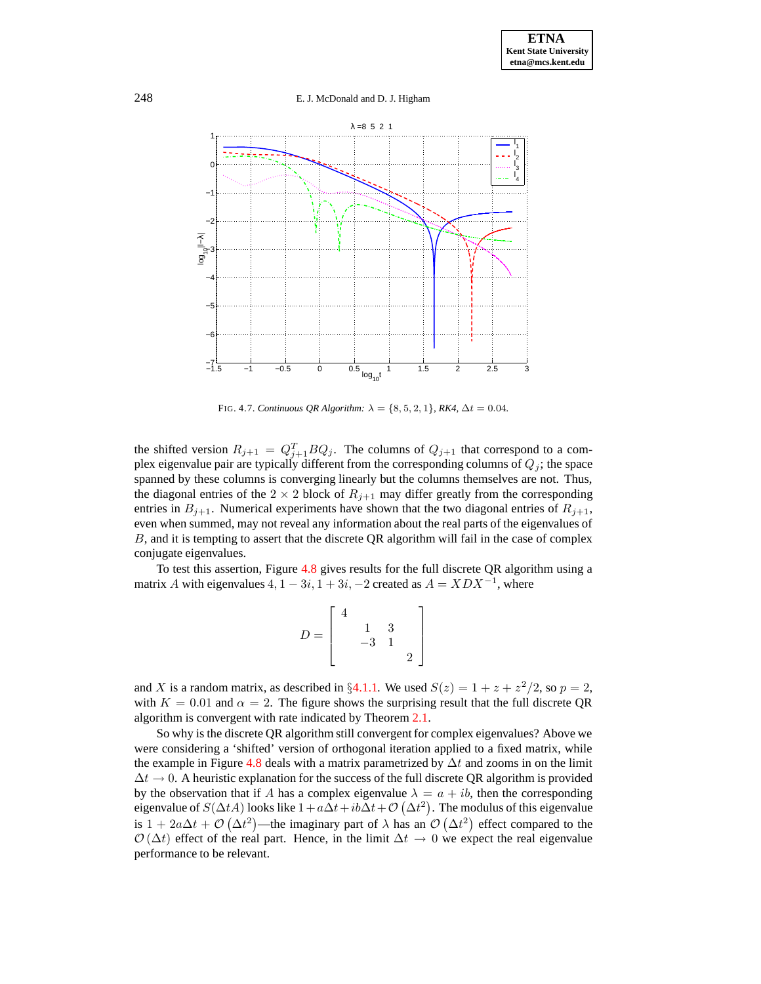

FIG. 4.7. *Continuous QR Algorithm:*  $\lambda = \{8, 5, 2, 1\}$ *, RK4,*  $\Delta t = 0.04$ *.* 

<span id="page-14-0"></span>the shifted version  $R_{j+1} = Q_{j+1}^T B Q_j$ . The columns of  $Q_{j+1}$  that correspond to a complex eigenvalue pair are typically different from the corresponding columns of  $Q_i$ ; the space spanned by these columns is converging linearly but the columns themselves are not. Thus, the diagonal entries of the  $2 \times 2$  block of  $R_{j+1}$  may differ greatly from the corresponding entries in  $B_{i+1}$ . Numerical experiments have shown that the two diagonal entries of  $R_{i+1}$ , even when summed, may not reveal any information about the real parts of the eigenvalues of B, and it is tempting to assert that the discrete QR algorithm will fail in the case of complex conjugate eigenvalues.

To test this assertion, Figure [4.8](#page-15-2) gives results for the full discrete QR algorithm using a matrix A with eigenvalues  $4, 1 - 3i, 1 + 3i, -2$  created as  $A = XDX^{-1}$ , where

$$
D = \left[ \begin{array}{rrr} 4 & & & \\ & 1 & 3 & \\ & -3 & 1 & \\ & & & 2 \end{array} \right]
$$

and X is a random matrix, as described in §[4.1.1.](#page-10-1) We used  $S(z) = 1 + z + \frac{z^2}{2}$ , so  $p = 2$ , with  $K = 0.01$  and  $\alpha = 2$ . The figure shows the surprising result that the full discrete QR algorithm is convergent with rate indicated by Theorem [2.1.](#page-4-1)

So why is the discrete QR algorithm still convergent for complex eigenvalues? Above we were considering a 'shifted' version of orthogonal iteration applied to a fixed matrix, while the example in Figure [4.8](#page-15-2) deals with a matrix parametrized by  $\Delta t$  and zooms in on the limit  $\Delta t \rightarrow 0$ . A heuristic explanation for the success of the full discrete QR algorithm is provided by the observation that if A has a complex eigenvalue  $\lambda = a + ib$ , then the corresponding eigenvalue of  $S(\Delta t A)$  looks like  $1 + a\Delta t + ib\Delta t + \mathcal{O}(\Delta t^2)$ . The modulus of this eigenvalue is  $1 + 2a\Delta t + \mathcal{O}(\Delta t^2)$ —the imaginary part of  $\lambda$  has an  $\mathcal{O}(\Delta t^2)$  effect compared to the  $\mathcal{O}(\Delta t)$  effect of the real part. Hence, in the limit  $\Delta t \to 0$  we expect the real eigenvalue performance to be relevant.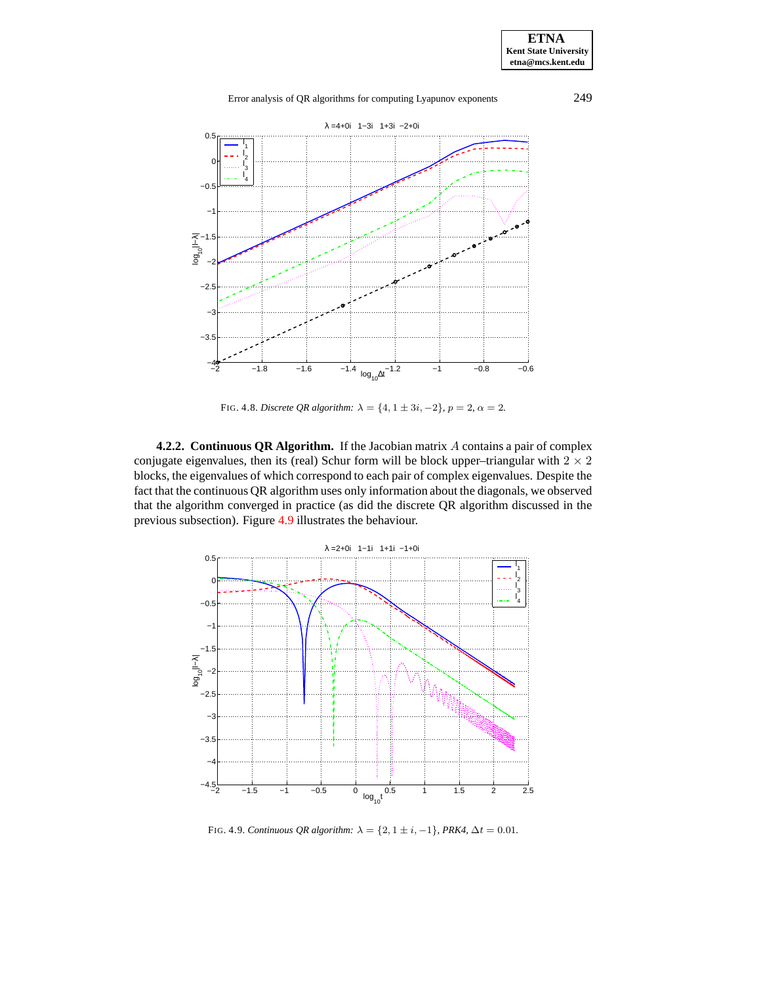**ETNA Kent State University etna@mcs.kent.edu**

## Error analysis of QR algorithms for computing Lyapunov exponents 249



FIG. 4.8. *Discrete QR algorithm*:  $\lambda = \{4, 1 \pm 3i, -2\}$ ,  $p = 2$ ,  $\alpha = 2$ .

<span id="page-15-2"></span><span id="page-15-1"></span>**4.2.2. Continuous QR Algorithm.** If the Jacobian matrix A contains a pair of complex conjugate eigenvalues, then its (real) Schur form will be block upper–triangular with  $2 \times 2$ blocks, the eigenvalues of which correspond to each pair of complex eigenvalues. Despite the fact that the continuous QR algorithm uses only information about the diagonals, we observed that the algorithm converged in practice (as did the discrete QR algorithm discussed in the previous subsection). Figure [4.9](#page-15-3) illustrates the behaviour.



<span id="page-15-3"></span><span id="page-15-0"></span>FIG. 4.9. *Continuous QR algorithm:*  $\lambda = \{2, 1 \pm i, -1\}$ *, PRK4,*  $\Delta t = 0.01$ *.*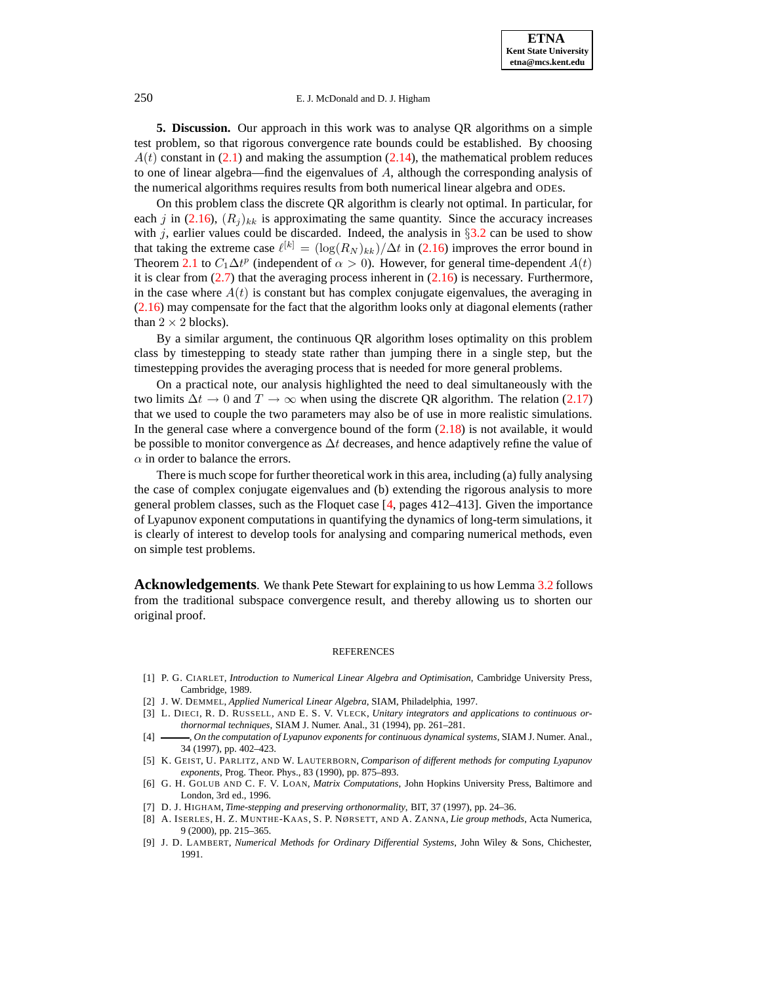**ETNA Kent State University etna@mcs.kent.edu**

#### 250 E. J. McDonald and D. J. Higham

**5. Discussion.** Our approach in this work was to analyse QR algorithms on a simple test problem, so that rigorous convergence rate bounds could be established. By choosing  $A(t)$  constant in [\(2.1\)](#page-1-1) and making the assumption [\(2.14\)](#page-3-0), the mathematical problem reduces to one of linear algebra—find the eigenvalues of  $A$ , although the corresponding analysis of the numerical algorithms requires results from both numerical linear algebra and ODEs.

On this problem class the discrete QR algorithm is clearly not optimal. In particular, for each j in [\(2.16\)](#page-3-2),  $(R_i)_{kk}$  is approximating the same quantity. Since the accuracy increases with j, earlier values could be discarded. Indeed, the analysis in  $\S 3.2$  $\S 3.2$  can be used to show that taking the extreme case  $\ell^{[k]} = (\log(R_N)_{kk})/\Delta t$  in [\(2.16\)](#page-3-2) improves the error bound in Theorem [2.1](#page-4-1) to  $C_1 \Delta t^p$  (independent of  $\alpha > 0$ ). However, for general time-dependent  $A(t)$ it is clear from  $(2.7)$  that the averaging process inherent in  $(2.16)$  is necessary. Furthermore, in the case where  $A(t)$  is constant but has complex conjugate eigenvalues, the averaging in [\(2.16\)](#page-3-2) may compensate for the fact that the algorithm looks only at diagonal elements (rather than  $2 \times 2$  blocks).

By a similar argument, the continuous QR algorithm loses optimality on this problem class by timestepping to steady state rather than jumping there in a single step, but the timestepping provides the averaging process that is needed for more general problems.

On a practical note, our analysis highlighted the need to deal simultaneously with the two limits  $\Delta t \to 0$  and  $T \to \infty$  when using the discrete QR algorithm. The relation [\(2.17\)](#page-4-3) that we used to couple the two parameters may also be of use in more realistic simulations. In the general case where a convergence bound of the form  $(2.18)$  is not available, it would be possible to monitor convergence as  $\Delta t$  decreases, and hence adaptively refine the value of  $\alpha$  in order to balance the errors.

There is much scope for further theoretical work in this area, including (a) fully analysing the case of complex conjugate eigenvalues and (b) extending the rigorous analysis to more general problem classes, such as the Floquet case  $[4,$  pages  $412-413]$ . Given the importance of Lyapunov exponent computations in quantifying the dynamics of long-term simulations, it is clearly of interest to develop tools for analysing and comparing numerical methods, even on simple test problems.

**Acknowledgements**. We thank Pete Stewart for explaining to us how Lemma [3.2](#page-5-1) follows from the traditional subspace convergence result, and thereby allowing us to shorten our original proof.

#### REFERENCES

- <span id="page-16-8"></span><span id="page-16-6"></span>[1] P. G. CIARLET, *Introduction to Numerical Linear Algebra and Optimisation*, Cambridge University Press, Cambridge, 1989.
- [2] J. W. DEMMEL, *Applied Numerical Linear Algebra*, SIAM, Philadelphia, 1997.
- <span id="page-16-4"></span>[3] L. DIECI, R. D. RUSSELL, AND E. S. V. VLECK, *Unitary integrators and applications to continuous orthornormal techniques*, SIAM J. Numer. Anal., 31 (1994), pp. 261–281.
- <span id="page-16-1"></span><span id="page-16-0"></span>[4] , *On the computation of Lyapunov exponents for continuous dynamical systems*, SIAM J. Numer. Anal., 34 (1997), pp. 402–423.
- [5] K. GEIST, U. PARLITZ, AND W. LAUTERBORN, *Comparison of different methods for computing Lyapunov exponents*, Prog. Theor. Phys., 83 (1990), pp. 875–893.
- <span id="page-16-2"></span>[6] G. H. GOLUB AND C. F. V. LOAN, *Matrix Computations*, John Hopkins University Press, Baltimore and London, 3rd ed., 1996.
- <span id="page-16-5"></span><span id="page-16-3"></span>[7] D. J. HIGHAM, *Time-stepping and preserving orthonormality*, BIT, 37 (1997), pp. 24–36.
- <span id="page-16-7"></span>[8] A. ISERLES, H. Z. MUNTHE-KAAS, S. P. NØRSETT, AND A. ZANNA, *Lie group methods*, Acta Numerica, 9 (2000), pp. 215–365.
- [9] J. D. LAMBERT, *Numerical Methods for Ordinary Differential Systems*, John Wiley & Sons, Chichester, 1991.